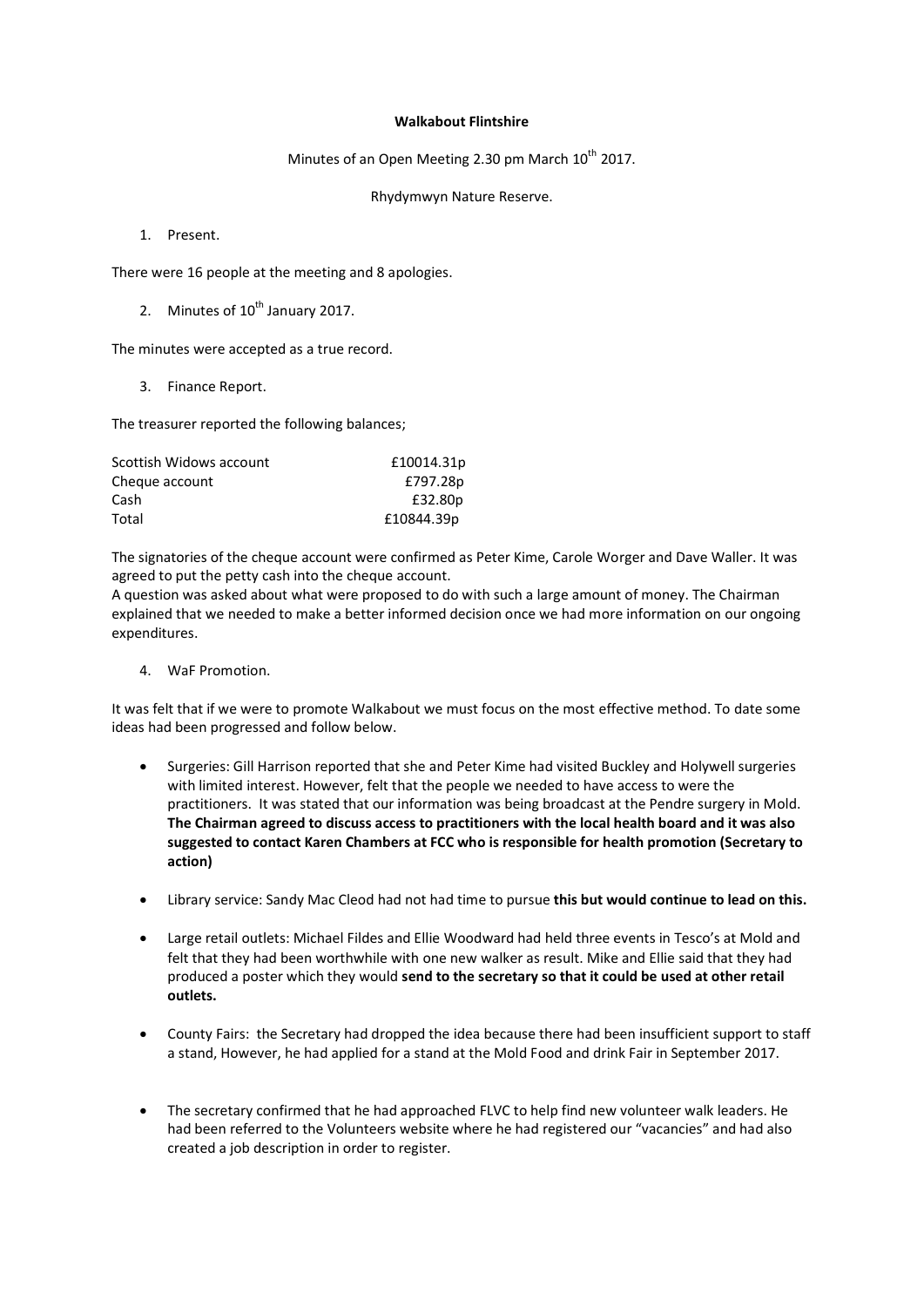## **Walkabout Flintshire**

## Minutes of an Open Meeting 2.30 pm March  $10^{th}$  2017.

Rhydymwyn Nature Reserve.

1. Present.

There were 16 people at the meeting and 8 apologies.

2. Minutes of  $10^{th}$  January 2017.

The minutes were accepted as a true record.

3. Finance Report.

The treasurer reported the following balances;

| Scottish Widows account | £10014.31p |
|-------------------------|------------|
| Cheque account          | £797.28p   |
| Cash                    | £32.80p    |
| Total                   | £10844.39p |

The signatories of the cheque account were confirmed as Peter Kime, Carole Worger and Dave Waller. It was agreed to put the petty cash into the cheque account.

A question was asked about what were proposed to do with such a large amount of money. The Chairman explained that we needed to make a better informed decision once we had more information on our ongoing expenditures.

4. WaF Promotion.

It was felt that if we were to promote Walkabout we must focus on the most effective method. To date some ideas had been progressed and follow below.

- Surgeries: Gill Harrison reported that she and Peter Kime had visited Buckley and Holywell surgeries with limited interest. However, felt that the people we needed to have access to were the practitioners. It was stated that our information was being broadcast at the Pendre surgery in Mold. **The Chairman agreed to discuss access to practitioners with the local health board and it was also suggested to contact Karen Chambers at FCC who is responsible for health promotion (Secretary to action)**
- Library service: Sandy Mac Cleod had not had time to pursue **this but would continue to lead on this.**
- Large retail outlets: Michael Fildes and Ellie Woodward had held three events in Tesco's at Mold and felt that they had been worthwhile with one new walker as result. Mike and Ellie said that they had produced a poster which they would **send to the secretary so that it could be used at other retail outlets.**
- County Fairs: the Secretary had dropped the idea because there had been insufficient support to staff a stand, However, he had applied for a stand at the Mold Food and drink Fair in September 2017.
- The secretary confirmed that he had approached FLVC to help find new volunteer walk leaders. He had been referred to the Volunteers website where he had registered our "vacancies" and had also created a job description in order to register.